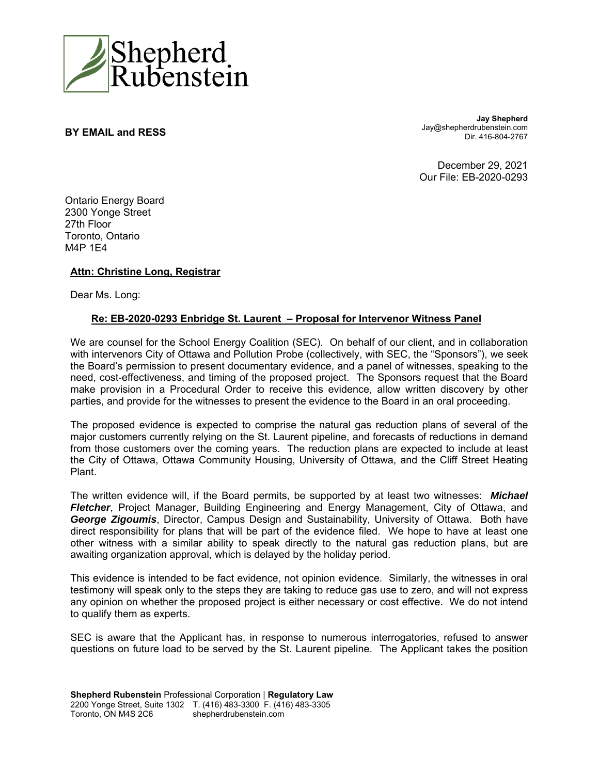

**BY EMAIL and RESS** 

**Jay Shepherd** Jay@shepherdrubenstein.com Dir. 416-804-2767

December 29, 2021 Our File: EB-2020-0293

Ontario Energy Board 2300 Yonge Street 27th Floor Toronto, Ontario M4P 1E4

## **Attn: Christine Long, Registrar**

Dear Ms. Long:

## **Re: EB-2020-0293 Enbridge St. Laurent – Proposal for Intervenor Witness Panel**

We are counsel for the School Energy Coalition (SEC). On behalf of our client, and in collaboration with intervenors City of Ottawa and Pollution Probe (collectively, with SEC, the "Sponsors"), we seek the Board's permission to present documentary evidence, and a panel of witnesses, speaking to the need, cost-effectiveness, and timing of the proposed project. The Sponsors request that the Board make provision in a Procedural Order to receive this evidence, allow written discovery by other parties, and provide for the witnesses to present the evidence to the Board in an oral proceeding.

The proposed evidence is expected to comprise the natural gas reduction plans of several of the major customers currently relying on the St. Laurent pipeline, and forecasts of reductions in demand from those customers over the coming years. The reduction plans are expected to include at least the City of Ottawa, Ottawa Community Housing, University of Ottawa, and the Cliff Street Heating Plant.

The written evidence will, if the Board permits, be supported by at least two witnesses: *Michael Fletcher*, Project Manager, Building Engineering and Energy Management, City of Ottawa, and *George Zigoumis*, Director, Campus Design and Sustainability, University of Ottawa. Both have direct responsibility for plans that will be part of the evidence filed. We hope to have at least one other witness with a similar ability to speak directly to the natural gas reduction plans, but are awaiting organization approval, which is delayed by the holiday period.

This evidence is intended to be fact evidence, not opinion evidence. Similarly, the witnesses in oral testimony will speak only to the steps they are taking to reduce gas use to zero, and will not express any opinion on whether the proposed project is either necessary or cost effective. We do not intend to qualify them as experts.

SEC is aware that the Applicant has, in response to numerous interrogatories, refused to answer questions on future load to be served by the St. Laurent pipeline. The Applicant takes the position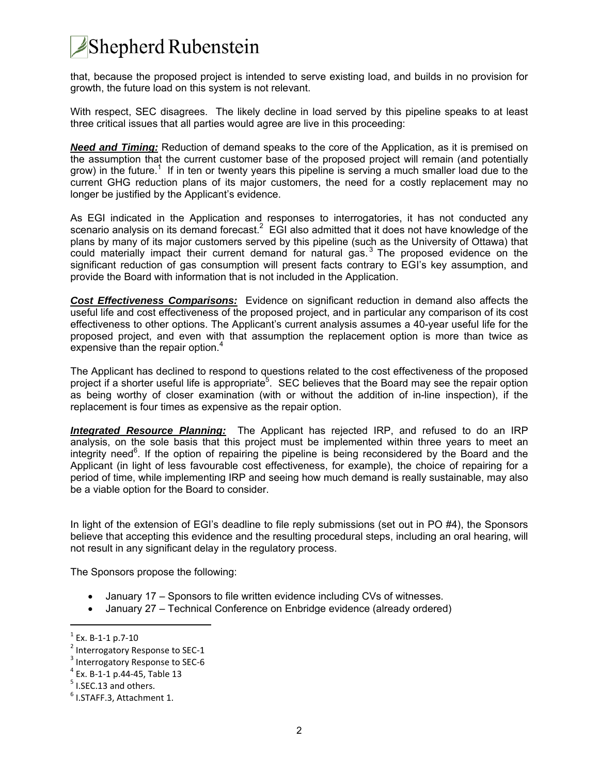## **Shepherd Rubenstein**

that, because the proposed project is intended to serve existing load, and builds in no provision for growth, the future load on this system is not relevant.

With respect, SEC disagrees. The likely decline in load served by this pipeline speaks to at least three critical issues that all parties would agree are live in this proceeding:

*Need and Timing:* Reduction of demand speaks to the core of the Application, as it is premised on the assumption that the current customer base of the proposed project will remain (and potentially grow) in the future.<sup>1</sup> If in ten or twenty years this pipeline is serving a much smaller load due to the current GHG reduction plans of its major customers, the need for a costly replacement may no longer be justified by the Applicant's evidence.

As EGI indicated in the Application and responses to interrogatories, it has not conducted any scenario analysis on its demand forecast.<sup>2</sup> EGI also admitted that it does not have knowledge of the plans by many of its major customers served by this pipeline (such as the University of Ottawa) that could materially impact their current demand for natural gas.<sup>3</sup> The proposed evidence on the significant reduction of gas consumption will present facts contrary to EGI's key assumption, and provide the Board with information that is not included in the Application.

*Cost Effectiveness Comparisons:* Evidence on significant reduction in demand also affects the useful life and cost effectiveness of the proposed project, and in particular any comparison of its cost effectiveness to other options. The Applicant's current analysis assumes a 40-year useful life for the proposed project, and even with that assumption the replacement option is more than twice as expensive than the repair option. $^4$ 

The Applicant has declined to respond to questions related to the cost effectiveness of the proposed project if a shorter useful life is appropriate<sup>5</sup>. SEC believes that the Board may see the repair option as being worthy of closer examination (with or without the addition of in-line inspection), if the replacement is four times as expensive as the repair option.

*Integrated Resource Planning:* The Applicant has rejected IRP, and refused to do an IRP analysis, on the sole basis that this project must be implemented within three years to meet an integrity need<sup>6</sup>. If the option of repairing the pipeline is being reconsidered by the Board and the Applicant (in light of less favourable cost effectiveness, for example), the choice of repairing for a period of time, while implementing IRP and seeing how much demand is really sustainable, may also be a viable option for the Board to consider.

In light of the extension of EGI's deadline to file reply submissions (set out in PO #4), the Sponsors believe that accepting this evidence and the resulting procedural steps, including an oral hearing, will not result in any significant delay in the regulatory process.

The Sponsors propose the following:

- January 17 Sponsors to file written evidence including CVs of witnesses.
- January 27 Technical Conference on Enbridge evidence (already ordered)

 $1$  Ex. B-1-1 p.7-10

<sup>&</sup>lt;sup>2</sup> Interrogatory Response to SEC-1

<sup>&</sup>lt;sup>3</sup> Interrogatory Response to SEC-6

<sup>4</sup> Ex. B‐1‐1 p.44‐45, Table 13

 $<sup>5</sup>$  I.SEC.13 and others.</sup>

<sup>&</sup>lt;sup>6</sup> I.STAFF.3, Attachment 1.